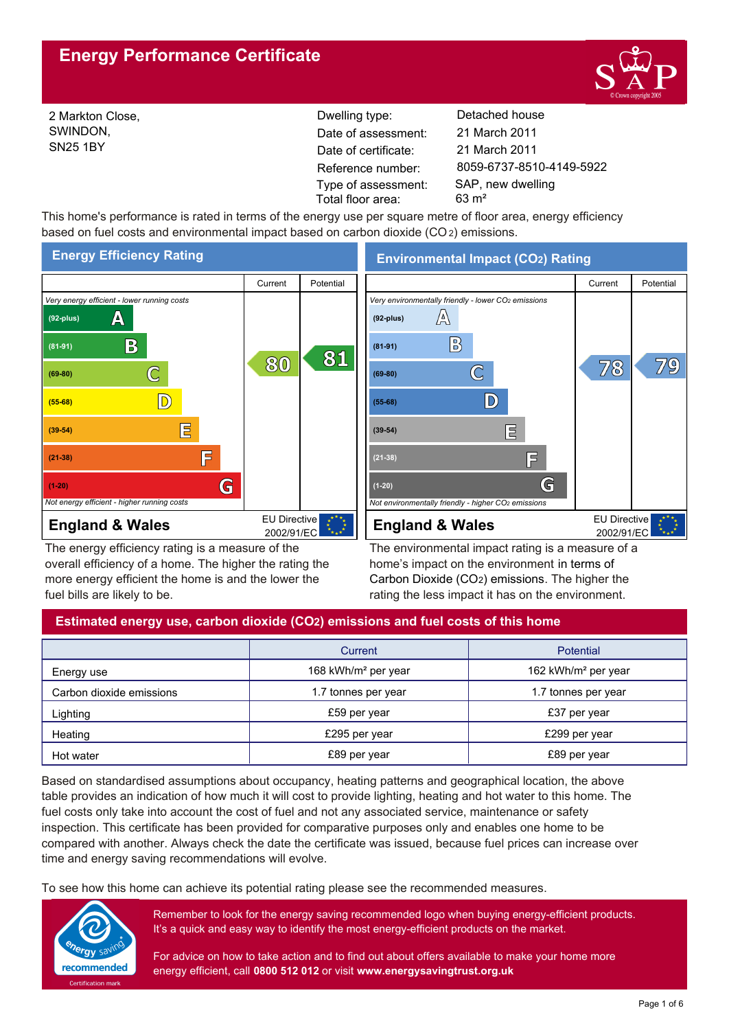# **Energy Performance Certificate**



2 Markton Close, SWINDON, SN25 1BY

Reference number: Date of certificate: Total floor area: 63 m<sup>2</sup> Date of assessment: Type of assessment: SAP, new dwelling

Dwelling type: Detached house 8059-6737-8510-4149-5922 21 March 2011 21 March 2011

This home's performance is rated in terms of the energy use per square metre of floor area, energy efficiency based on fuel costs and environmental impact based on carbon dioxide (CO2) emissions.



The energy efficiency rating is a measure of the overall efficiency of a home. The higher the rating the more energy efficient the home is and the lower the fuel bills are likely to be.

The environmental impact rating is a measure of a home's impact on the environment in terms of Carbon Dioxide (CO2) emissions. The higher the rating the less impact it has on the environment.

## **Estimated energy use, carbon dioxide (CO2) emissions and fuel costs of this home**

|                          | Current                         | <b>Potential</b>                |
|--------------------------|---------------------------------|---------------------------------|
| Energy use               | 168 kWh/m <sup>2</sup> per year | 162 kWh/m <sup>2</sup> per year |
| Carbon dioxide emissions | 1.7 tonnes per year             | 1.7 tonnes per year             |
| Lighting                 | £59 per year                    | £37 per year                    |
| Heating                  | £295 per year                   | £299 per year                   |
| Hot water                | £89 per year                    | £89 per year                    |

Based on standardised assumptions about occupancy, heating patterns and geographical location, the above table provides an indication of how much it will cost to provide lighting, heating and hot water to this home. The fuel costs only take into account the cost of fuel and not any associated service, maintenance or safety inspection. This certificate has been provided for comparative purposes only and enables one home to be compared with another. Always check the date the certificate was issued, because fuel prices can increase over time and energy saving recommendations will evolve.

To see how this home can achieve its potential rating please see the recommended measures.



Remember to look for the energy saving recommended logo when buying energy-efficient products. It's a quick and easy way to identify the most energy-efficient products on the market.

For advice on how to take action and to find out about offers available to make your home more energy efficient, call **0800 512 012** or visit **www.energysavingtrust.org.uk**

## **Environmental Impact (CO2) Rating**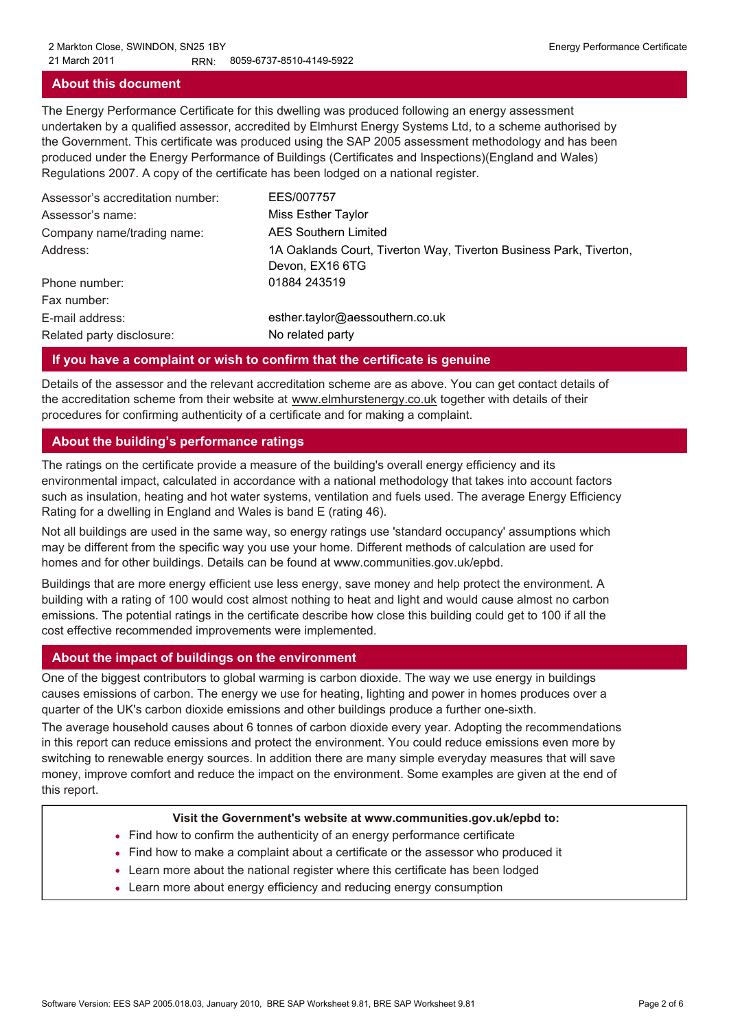#### **About this document**

The Energy Performance Certificate for this dwelling was produced following an energy assessment undertaken by a qualified assessor, accredited by Elmhurst Energy Systems Ltd, to a scheme authorised by the Government. This certificate was produced using the SAP 2005 assessment methodology and has been produced under the Energy Performance of Buildings (Certificates and Inspections)(England and Wales) Regulations 2007. A copy of the certificate has been lodged on a national register.

| Assessor's accreditation number: | EES/007757                                                                            |
|----------------------------------|---------------------------------------------------------------------------------------|
| Assessor's name:                 | Miss Esther Taylor                                                                    |
| Company name/trading name:       | <b>AES Southern Limited</b>                                                           |
| Address:                         | 1A Oaklands Court, Tiverton Way, Tiverton Business Park, Tiverton,<br>Devon, EX16 6TG |
| Phone number:                    | 01884 243519                                                                          |
| Fax number:                      |                                                                                       |
| E-mail address:                  | esther.taylor@aessouthern.co.uk                                                       |
| Related party disclosure:        | No related party                                                                      |

## **If you have a complaint or wish to confirm that the certificate is genuine**

Details of the assessor and the relevant accreditation scheme are as above. You can get contact details of the accreditation scheme from their website at www.elmhurstenergy.co.uk together with details of their procedures for confirming authenticity of a certificate and for making a complaint.

### **About the building's performance ratings**

The ratings on the certificate provide a measure of the building's overall energy efficiency and its environmental impact, calculated in accordance with a national methodology that takes into account factors such as insulation, heating and hot water systems, ventilation and fuels used. The average Energy Efficiency Rating for a dwelling in England and Wales is band E (rating 46).

Not all buildings are used in the same way, so energy ratings use 'standard occupancy' assumptions which may be different from the specific way you use your home. Different methods of calculation are used for homes and for other buildings. Details can be found at www.communities.gov.uk/epbd.

Buildings that are more energy efficient use less energy, save money and help protect the environment. A building with a rating of 100 would cost almost nothing to heat and light and would cause almost no carbon emissions. The potential ratings in the certificate describe how close this building could get to 100 if all the cost effective recommended improvements were implemented.

## **About the impact of buildings on the environment**

One of the biggest contributors to global warming is carbon dioxide. The way we use energy in buildings causes emissions of carbon. The energy we use for heating, lighting and power in homes produces over a quarter of the UK's carbon dioxide emissions and other buildings produce a further one-sixth.

The average household causes about 6 tonnes of carbon dioxide every year. Adopting the recommendations in this report can reduce emissions and protect the environment. You could reduce emissions even more by switching to renewable energy sources. In addition there are many simple everyday measures that will save money, improve comfort and reduce the impact on the environment. Some examples are given at the end of this report.

#### **Visit the Government's website at www.communities.gov.uk/epbd to:**

- Find how to confirm the authenticity of an energy performance certificate
- Find how to make a complaint about a certificate or the assessor who produced it Ind how to confirm the authenticity of an energy performance certification Find how to make a complaint about a certificate or the assessor who position and reducing energy consumption in the about energy efficiency and re • Find how to make
- Learn more about the national register where this certificate has been lodged •
- Learn more about energy efficiency and reducing energy consumption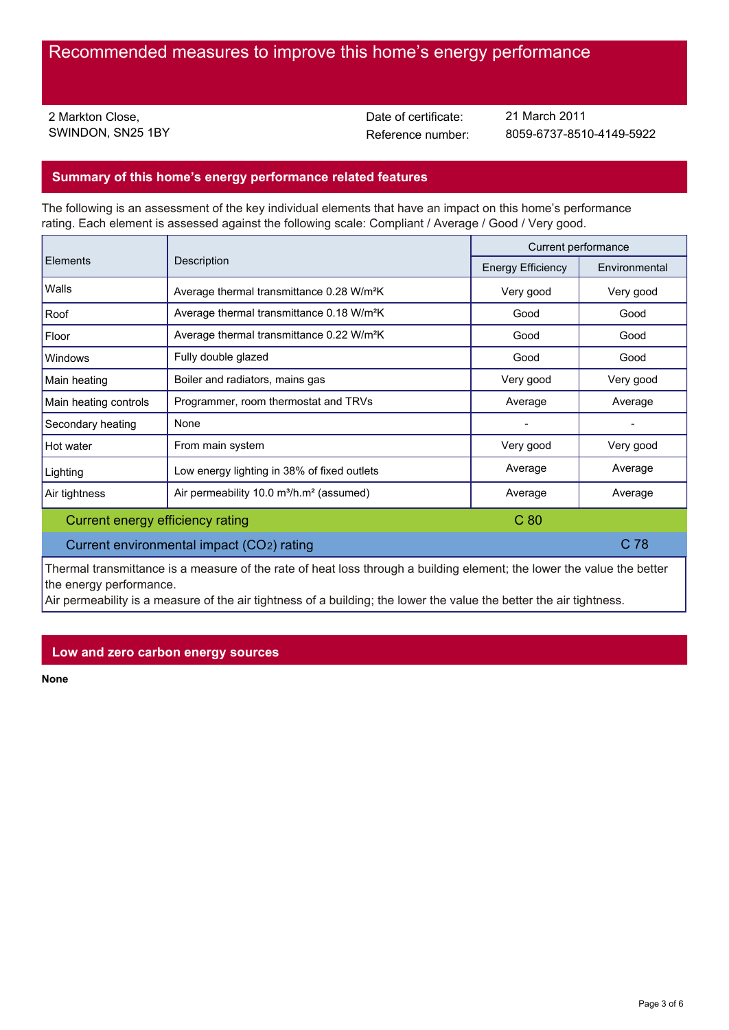# Recommended measures to improve this home's energy performance

2 Markton Close, SWINDON, SN25 1BY Date of certificate:

Reference number: 8059-6737-8510-4149-5922 21 March 2011

## **Summary of this home's energy performance related features**

The following is an assessment of the key individual elements that have an impact on this home's performance rating. Each element is assessed against the following scale: Compliant / Average / Good / Very good.

|                                  | Description                                                      | Current performance      |                 |
|----------------------------------|------------------------------------------------------------------|--------------------------|-----------------|
| <b>Elements</b>                  |                                                                  | <b>Energy Efficiency</b> | Environmental   |
| Walls                            | Average thermal transmittance 0.28 W/m <sup>2</sup> K            | Very good                | Very good       |
| Roof                             | Average thermal transmittance 0.18 W/m <sup>2</sup> K            | Good                     | Good            |
| Floor                            | Average thermal transmittance 0.22 W/m <sup>2</sup> K            | Good                     | Good            |
| <b>Windows</b>                   | Fully double glazed                                              | Good                     | Good            |
| Main heating                     | Boiler and radiators, mains gas                                  | Very good                | Very good       |
| Main heating controls            | Programmer, room thermostat and TRVs                             | Average                  | Average         |
| Secondary heating                | None                                                             |                          | ۰               |
| Hot water                        | From main system                                                 | Very good                | Very good       |
| Lighting                         | Low energy lighting in 38% of fixed outlets                      | Average                  | Average         |
| Air tightness                    | Air permeability 10.0 m <sup>3</sup> /h.m <sup>2</sup> (assumed) | Average                  | Average         |
| Current energy efficiency rating |                                                                  | C <sub>80</sub>          |                 |
|                                  | Current environmental impact (CO2) rating                        |                          | C <sub>78</sub> |

Thermal transmittance is a measure of the rate of heat loss through a building element; the lower the value the better the energy performance.

Air permeability is a measure of the air tightness of a building; the lower the value the better the air tightness.

## **Low and zero carbon energy sources**

**None**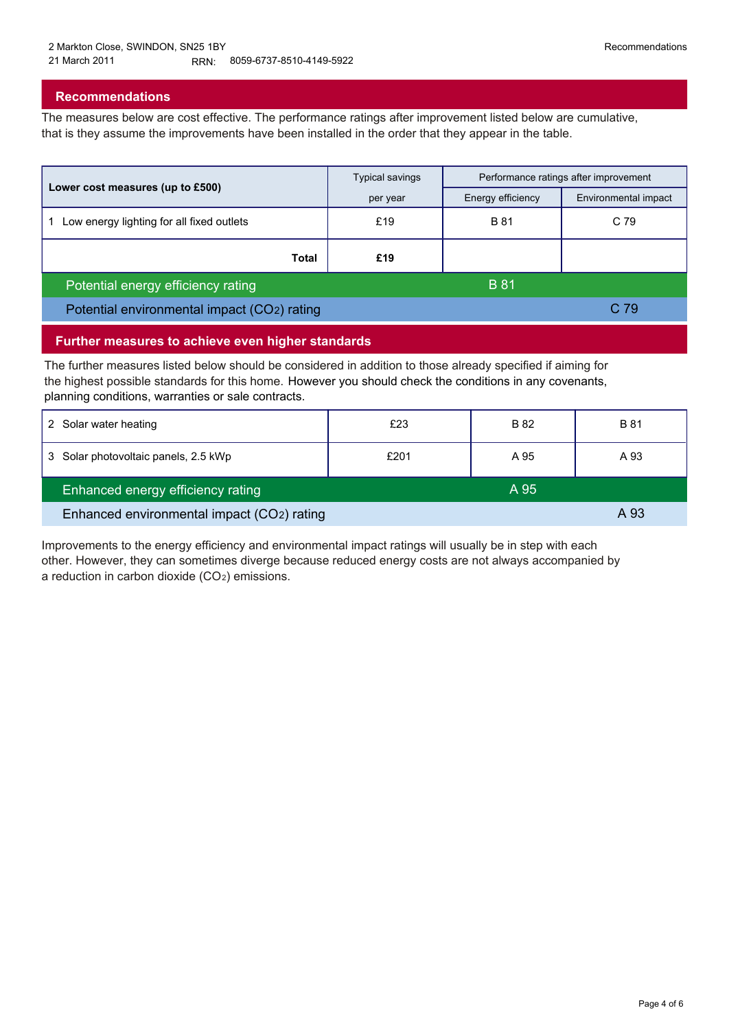## **Recommendations**

The measures below are cost effective. The performance ratings after improvement listed below are cumulative, that is they assume the improvements have been installed in the order that they appear in the table.

|                                             | Typical savings | Performance ratings after improvement |                      |
|---------------------------------------------|-----------------|---------------------------------------|----------------------|
| Lower cost measures (up to £500)            | per year        | Energy efficiency                     | Environmental impact |
| Low energy lighting for all fixed outlets   | £19             | <b>B</b> 81                           | C 79                 |
| <b>Total</b>                                | £19             |                                       |                      |
| Potential energy efficiency rating          |                 | <b>B</b> 81                           |                      |
| Potential environmental impact (CO2) rating |                 |                                       | C 79                 |

### **Further measures to achieve even higher standards**

The further measures listed below should be considered in addition to those already specified if aiming for the highest possible standards for this home. However you should check the conditions in any covenants, planning conditions, warranties or sale contracts.

| 2 Solar water heating                      | £23  | <b>B</b> 82 | <b>B</b> 81 |
|--------------------------------------------|------|-------------|-------------|
| 3 Solar photovoltaic panels, 2.5 kWp       | £201 | A 95        | A 93        |
| Enhanced energy efficiency rating          |      | A 95        |             |
| Enhanced environmental impact (CO2) rating |      |             | A 93        |

Improvements to the energy efficiency and environmental impact ratings will usually be in step with each other. However, they can sometimes diverge because reduced energy costs are not always accompanied by a reduction in carbon dioxide (CO2) emissions.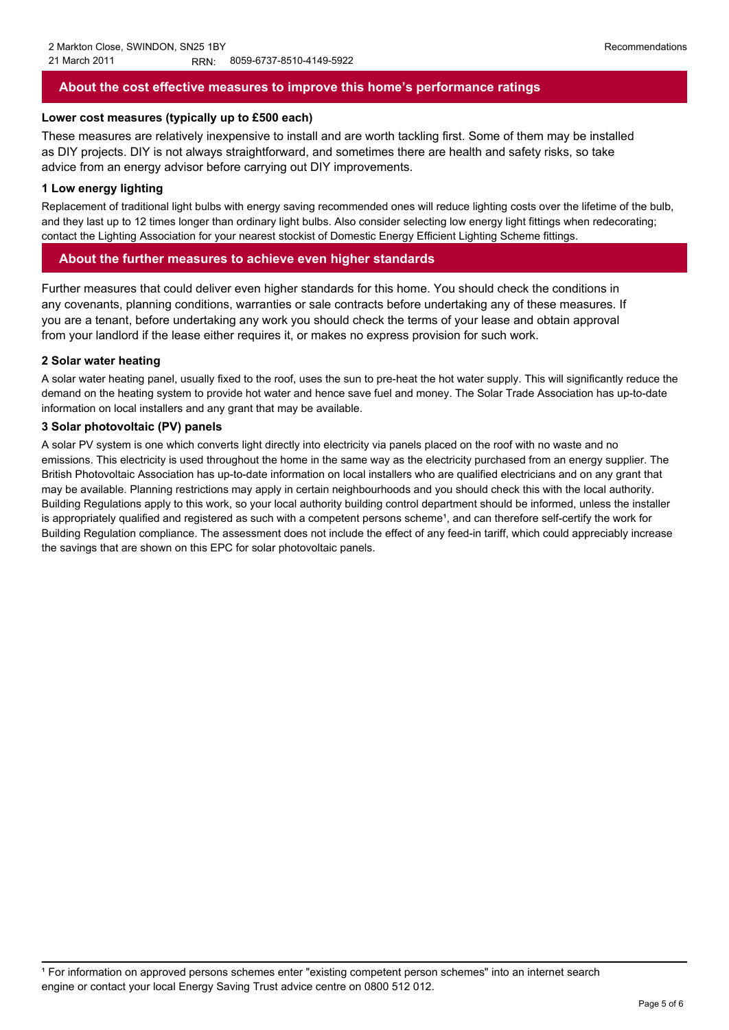## **About the cost effective measures to improve this home's performance ratings**

#### **Lower cost measures (typically up to £500 each)**

These measures are relatively inexpensive to install and are worth tackling first. Some of them may be installed as DIY projects. DIY is not always straightforward, and sometimes there are health and safety risks, so take advice from an energy advisor before carrying out DIY improvements.

## **1 Low energy lighting**

Replacement of traditional light bulbs with energy saying recommended ones will reduce lighting costs over the lifetime of the bulb. and they last up to 12 times longer than ordinary light bulbs. Also consider selecting low energy light fittings when redecorating; contact the Lighting Association for your nearest stockist of Domestic Energy Efficient Lighting Scheme fittings.

## **About the further measures to achieve even higher standards**

Further measures that could deliver even higher standards for this home. You should check the conditions in any covenants, planning conditions, warranties or sale contracts before undertaking any of these measures. If you are a tenant, before undertaking any work you should check the terms of your lease and obtain approval from your landlord if the lease either requires it, or makes no express provision for such work.

#### **2 Solar water heating**

A solar water heating panel, usually fixed to the roof, uses the sun to pre-heat the hot water supply. This will significantly reduce the demand on the heating system to provide hot water and hence save fuel and money. The Solar Trade Association has up-to-date information on local installers and any grant that may be available.

### **3 Solar photovoltaic (PV) panels**

A solar PV system is one which converts light directly into electricity via panels placed on the roof with no waste and no emissions. This electricity is used throughout the home in the same way as the electricity purchased from an energy supplier. The British Photovoltaic Association has up-to-date information on local installers who are qualified electricians and on any grant that may be available. Planning restrictions may apply in certain neighbourhoods and you should check this with the local authority. Building Regulations apply to this work, so your local authority building control department should be informed, unless the installer is appropriately qualified and registered as such with a competent persons scheme<sup>1</sup>, and can therefore self-certify the work for Building Regulation compliance. The assessment does not include the effect of any feed-in tariff, which could appreciably increase the savings that are shown on this EPC for solar photovoltaic panels.